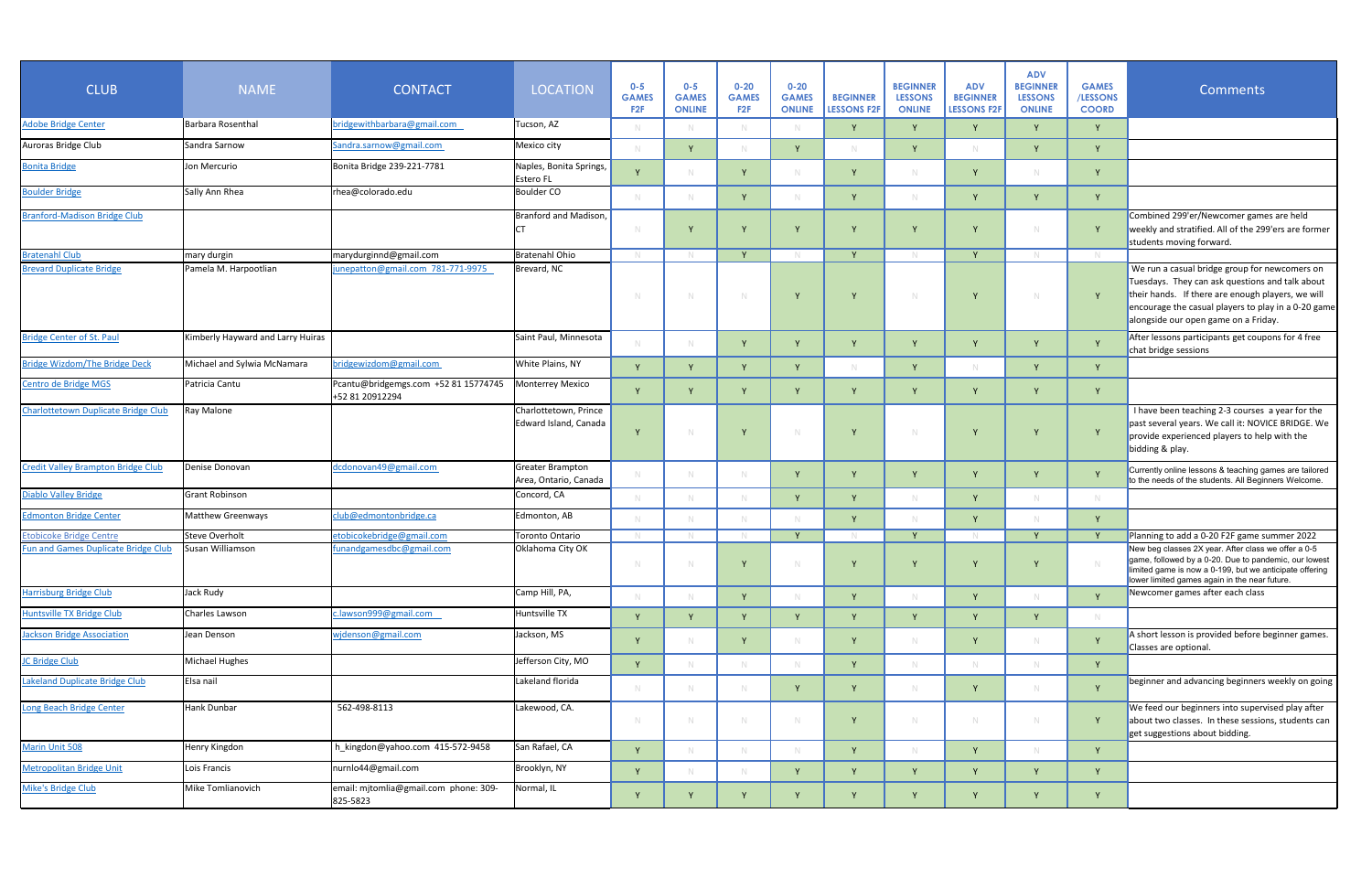| <b>CLUB</b>                                | <b>NAME</b>                        | <b>CONTACT</b>                                          | <b>LOCATION</b>                                | $0 - 5$<br><b>GAMES</b><br>F <sub>2</sub> F | $0 - 5$<br><b>GAMES</b><br><b>ONLINE</b> | $0 - 20$<br><b>GAMES</b><br>F2F | $0 - 20$<br><b>GAMES</b><br><b>ONLINE</b> | <b>BEGINNER</b><br><b>LESSONS F2F</b> | <b>BEGINNER</b><br><b>LESSONS</b><br><b>ONLINE</b> | <b>ADV</b><br><b>BEGINNER</b><br>LESSONS F2F | <b>ADV</b><br><b>BEGINNER</b><br><b>LESSONS</b><br><b>ONLINE</b> | <b>GAMES</b><br>/LESSONS<br><b>COORD</b> | <b>Comments</b>                                                                                                                                                                                                                                      |
|--------------------------------------------|------------------------------------|---------------------------------------------------------|------------------------------------------------|---------------------------------------------|------------------------------------------|---------------------------------|-------------------------------------------|---------------------------------------|----------------------------------------------------|----------------------------------------------|------------------------------------------------------------------|------------------------------------------|------------------------------------------------------------------------------------------------------------------------------------------------------------------------------------------------------------------------------------------------------|
| <b>Adobe Bridge Center</b>                 | Barbara Rosenthal                  | bridgewithbarbara@gmail.com                             | Tucson, AZ                                     |                                             |                                          |                                 |                                           |                                       |                                                    |                                              |                                                                  |                                          |                                                                                                                                                                                                                                                      |
| Auroras Bridge Club                        | Sandra Sarnow                      | Sandra.sarnow@gmail.com                                 | Mexico city                                    |                                             | $\mathsf{v}$                             |                                 | $\vee$                                    |                                       |                                                    |                                              |                                                                  |                                          |                                                                                                                                                                                                                                                      |
| <b>Bonita Bridge</b>                       | Jon Mercurio                       | Bonita Bridge 239-221-7781                              | Naples, Bonita Springs,<br><b>Estero FL</b>    |                                             |                                          |                                 |                                           |                                       |                                                    |                                              |                                                                  |                                          |                                                                                                                                                                                                                                                      |
| <b>Boulder Bridge</b>                      | Sally Ann Rhea                     | rhea@colorado.edu                                       | Boulder CO                                     |                                             |                                          | $\mathbf{v}$                    |                                           |                                       |                                                    |                                              |                                                                  |                                          |                                                                                                                                                                                                                                                      |
| <b>Branford-Madison Bridge Club</b>        |                                    |                                                         | Branford and Madison,                          |                                             |                                          |                                 |                                           |                                       |                                                    |                                              |                                                                  | Y                                        | Combined 299'er/Newcomer games are held<br>weekly and stratified. All of the 299'ers are former                                                                                                                                                      |
|                                            |                                    |                                                         | C                                              |                                             |                                          |                                 |                                           |                                       |                                                    |                                              |                                                                  |                                          | students moving forward.                                                                                                                                                                                                                             |
| <b>Bratenahl Club</b>                      | mary durgin                        | marydurginnd@gmail.com                                  | Bratenahl Ohio                                 |                                             |                                          |                                 |                                           |                                       |                                                    | $\vee$                                       |                                                                  |                                          |                                                                                                                                                                                                                                                      |
| <b>Brevard Duplicate Bridge</b>            | Pamela M. Harpootlian              | junepatton@gmail.com 781-771-9975                       | Brevard, NC                                    |                                             |                                          |                                 |                                           |                                       |                                                    | v                                            | - N                                                              | $\vee$                                   | We run a casual bridge group for newcomers on<br>Tuesdays. They can ask questions and talk about<br>their hands. If there are enough players, we will<br>encourage the casual players to play in a 0-20 game<br>alongside our open game on a Friday. |
| <b>Bridge Center of St. Paul</b>           | Kimberly Hayward and Larry Huiras  |                                                         | Saint Paul, Minnesota                          |                                             |                                          |                                 |                                           |                                       |                                                    |                                              |                                                                  |                                          | After lessons participants get coupons for 4 free<br>chat bridge sessions                                                                                                                                                                            |
| <b>Bridge Wizdom/The Bridge Deck</b>       | Michael and Sylwia McNamara        | bridgewizdom@gmail.com                                  | <b>White Plains, NY</b>                        |                                             |                                          |                                 | $\vee$                                    |                                       |                                                    |                                              |                                                                  | Υ                                        |                                                                                                                                                                                                                                                      |
| Centro de Bridge MGS                       | Patricia Cantu                     | Pcantu@bridgemgs.com +52 81 15774745<br>+52 81 20912294 | Monterrey Mexico                               |                                             |                                          |                                 |                                           |                                       |                                                    |                                              |                                                                  |                                          |                                                                                                                                                                                                                                                      |
| Charlottetown Duplicate Bridge Club        | <b>Ray Malone</b>                  |                                                         | Charlottetown, Prince<br>Edward Island, Canada |                                             |                                          |                                 |                                           |                                       |                                                    |                                              |                                                                  |                                          | I have been teaching 2-3 courses a year for the<br>past several years. We call it: NOVICE BRIDGE. We<br>provide experienced players to help with the<br>bidding & play.                                                                              |
| <b>Credit Valley Brampton Bridge Club</b>  | Denise Donovan                     | dcdonovan49@gmail.com                                   | Greater Brampton<br>Area, Ontario, Canada      |                                             |                                          |                                 |                                           |                                       |                                                    |                                              |                                                                  |                                          | Currently online lessons & teaching games are tailored<br>to the needs of the students. All Beginners Welcome.                                                                                                                                       |
| <b>Diablo Valley Bridge</b>                | <b>Grant Robinson</b>              |                                                         | Concord, CA                                    |                                             |                                          |                                 | v                                         |                                       |                                                    |                                              |                                                                  | -N                                       |                                                                                                                                                                                                                                                      |
| <b>Edmonton Bridge Center</b>              | Matthew Greenways                  | club@edmontonbridge.ca                                  | Edmonton, AB                                   |                                             |                                          |                                 |                                           |                                       |                                                    | v                                            |                                                                  | Y                                        |                                                                                                                                                                                                                                                      |
| <b>Etobicoke Bridge Centre</b>             | Steve Overholt<br>Susan Williamson | etobicokebridge@gmail.com                               | Toronto Ontario                                |                                             |                                          |                                 | $\mathbf v$                               |                                       |                                                    |                                              |                                                                  | $\mathbf{V}$                             | Planning to add a 0-20 F2F game summer 2022                                                                                                                                                                                                          |
| <b>Fun and Games Duplicate Bridge Club</b> |                                    | funandgamesdbc@gmail.com                                | Oklahoma City OK                               | N                                           |                                          |                                 |                                           |                                       |                                                    |                                              |                                                                  |                                          | New beg classes 2X year. After class we offer a 0-5<br>game, followed by a 0-20. Due to pandemic, our lowest  <br>limited game is now a 0-199, but we anticipate offering<br>lower limited games again in the near future.                           |
| <b>Harrisburg Bridge Club</b>              | Jack Rudy                          |                                                         | Camp Hill, PA,                                 |                                             |                                          |                                 |                                           |                                       |                                                    |                                              |                                                                  | Y                                        | Newcomer games after each class                                                                                                                                                                                                                      |
| <b>Huntsville TX Bridge Club</b>           | Charles Lawson                     | c.lawson999@gmail.com                                   | Huntsville TX                                  |                                             |                                          |                                 |                                           |                                       |                                                    | Y                                            |                                                                  | -N                                       |                                                                                                                                                                                                                                                      |
| ackson Bridge Association                  | Jean Denson                        | widenson@gmail.com                                      | Jackson, MS                                    |                                             |                                          | $\vee$                          |                                           |                                       |                                                    |                                              |                                                                  |                                          | A short lesson is provided before beginner games.<br>Classes are optional.                                                                                                                                                                           |
| <b>JC Bridge Club</b>                      | Michael Hughes                     |                                                         | Jefferson City, MO                             | $\mathbf{v}$                                |                                          |                                 | -N                                        |                                       |                                                    |                                              |                                                                  | Y                                        |                                                                                                                                                                                                                                                      |
| Lakeland Duplicate Bridge Club             | Elsa nail                          |                                                         | Lakeland florida                               |                                             |                                          |                                 |                                           |                                       |                                                    |                                              |                                                                  |                                          | beginner and advancing beginners weekly on going                                                                                                                                                                                                     |
| Long Beach Bridge Center                   | Hank Dunbar                        | 562-498-8113                                            | Lakewood, CA.                                  | <b>N</b>                                    |                                          |                                 | <b>N</b>                                  |                                       |                                                    | $\mathbb N$                                  |                                                                  | $\vee$                                   | We feed our beginners into supervised play after<br>about two classes. In these sessions, students can<br>get suggestions about bidding.                                                                                                             |
| <b>Marin Unit 508</b>                      | Henry Kingdon                      | h kingdon@yahoo.com 415-572-9458                        | San Rafael, CA                                 | $\mathbf{V}$                                |                                          |                                 | $\mathbb N$                               | $\mathbf{v}$                          |                                                    | Y                                            |                                                                  | Y                                        |                                                                                                                                                                                                                                                      |
| <b>Metropolitan Bridge Unit</b>            | Lois Francis                       | nurnlo44@gmail.com                                      | Brooklyn, NY                                   |                                             |                                          |                                 | v                                         |                                       |                                                    |                                              |                                                                  |                                          |                                                                                                                                                                                                                                                      |
| Mike's Bridge Club                         | Mike Tomlianovich                  | email: mjtomlia@gmail.com phone: 309-<br>825-5823       | Normal, IL                                     | $\mathbf{v}$                                | $\mathbf{v}$                             | $\mathbf{v}$                    | $\mathbf{v}$                              | $\mathbf{v}$                          | $\mathbf{v}$                                       | $\mathbf{v}$                                 | $\mathbf{v}$                                                     | $\mathbf{v}$                             |                                                                                                                                                                                                                                                      |